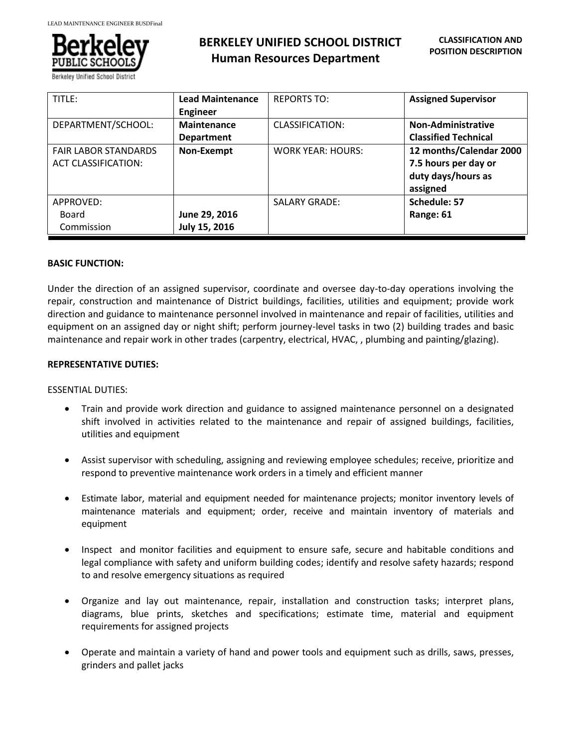

Berkeley Unified School D

# **BERKELEY UNIFIED SCHOOL DISTRICT Human Resources Department**

| TITLE:                                                    | <b>Lead Maintenance</b><br>Engineer     | <b>REPORTS TO:</b>       | <b>Assigned Supervisor</b>                                                        |
|-----------------------------------------------------------|-----------------------------------------|--------------------------|-----------------------------------------------------------------------------------|
| DEPARTMENT/SCHOOL:                                        | <b>Maintenance</b><br><b>Department</b> | CLASSIFICATION:          | <b>Non-Administrative</b><br><b>Classified Technical</b>                          |
| <b>FAIR LABOR STANDARDS</b><br><b>ACT CLASSIFICATION:</b> | Non-Exempt                              | <b>WORK YEAR: HOURS:</b> | 12 months/Calendar 2000<br>7.5 hours per day or<br>duty days/hours as<br>assigned |
| APPROVED:<br>Board<br>Commission                          | June 29, 2016<br>July 15, 2016          | <b>SALARY GRADE:</b>     | Schedule: 57<br>Range: 61                                                         |

## **BASIC FUNCTION:**

Under the direction of an assigned supervisor, coordinate and oversee day-to-day operations involving the repair, construction and maintenance of District buildings, facilities, utilities and equipment; provide work direction and guidance to maintenance personnel involved in maintenance and repair of facilities, utilities and equipment on an assigned day or night shift; perform journey-level tasks in two (2) building trades and basic maintenance and repair work in other trades (carpentry, electrical, HVAC, , plumbing and painting/glazing).

# **REPRESENTATIVE DUTIES:**

## ESSENTIAL DUTIES:

- Train and provide work direction and guidance to assigned maintenance personnel on a designated shift involved in activities related to the maintenance and repair of assigned buildings, facilities, utilities and equipment
- Assist supervisor with scheduling, assigning and reviewing employee schedules; receive, prioritize and respond to preventive maintenance work orders in a timely and efficient manner
- Estimate labor, material and equipment needed for maintenance projects; monitor inventory levels of maintenance materials and equipment; order, receive and maintain inventory of materials and equipment
- Inspect and monitor facilities and equipment to ensure safe, secure and habitable conditions and legal compliance with safety and uniform building codes; identify and resolve safety hazards; respond to and resolve emergency situations as required
- Organize and lay out maintenance, repair, installation and construction tasks; interpret plans, diagrams, blue prints, sketches and specifications; estimate time, material and equipment requirements for assigned projects
- Operate and maintain a variety of hand and power tools and equipment such as drills, saws, presses, grinders and pallet jacks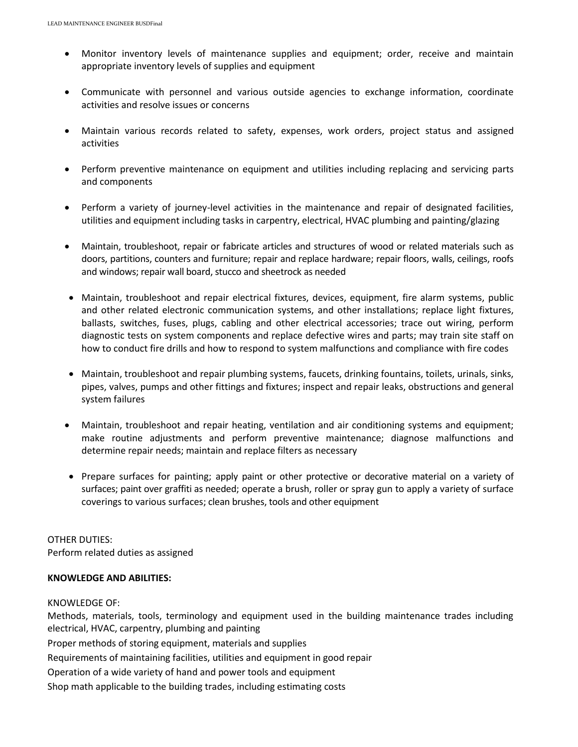- Monitor inventory levels of maintenance supplies and equipment; order, receive and maintain appropriate inventory levels of supplies and equipment
- Communicate with personnel and various outside agencies to exchange information, coordinate activities and resolve issues or concerns
- Maintain various records related to safety, expenses, work orders, project status and assigned activities
- Perform preventive maintenance on equipment and utilities including replacing and servicing parts and components
- Perform a variety of journey-level activities in the maintenance and repair of designated facilities, utilities and equipment including tasks in carpentry, electrical, HVAC plumbing and painting/glazing
- Maintain, troubleshoot, repair or fabricate articles and structures of wood or related materials such as doors, partitions, counters and furniture; repair and replace hardware; repair floors, walls, ceilings, roofs and windows; repair wall board, stucco and sheetrock as needed
- Maintain, troubleshoot and repair electrical fixtures, devices, equipment, fire alarm systems, public and other related electronic communication systems, and other installations; replace light fixtures, ballasts, switches, fuses, plugs, cabling and other electrical accessories; trace out wiring, perform diagnostic tests on system components and replace defective wires and parts; may train site staff on how to conduct fire drills and how to respond to system malfunctions and compliance with fire codes
- Maintain, troubleshoot and repair plumbing systems, faucets, drinking fountains, toilets, urinals, sinks, pipes, valves, pumps and other fittings and fixtures; inspect and repair leaks, obstructions and general system failures
- Maintain, troubleshoot and repair heating, ventilation and air conditioning systems and equipment; make routine adjustments and perform preventive maintenance; diagnose malfunctions and determine repair needs; maintain and replace filters as necessary
- Prepare surfaces for painting; apply paint or other protective or decorative material on a variety of surfaces; paint over graffiti as needed; operate a brush, roller or spray gun to apply a variety of surface coverings to various surfaces; clean brushes, tools and other equipment

OTHER DUTIES: Perform related duties as assigned

# **KNOWLEDGE AND ABILITIES:**

# KNOWLEDGE OF:

Methods, materials, tools, terminology and equipment used in the building maintenance trades including electrical, HVAC, carpentry, plumbing and painting

Proper methods of storing equipment, materials and supplies

Requirements of maintaining facilities, utilities and equipment in good repair

Operation of a wide variety of hand and power tools and equipment

Shop math applicable to the building trades, including estimating costs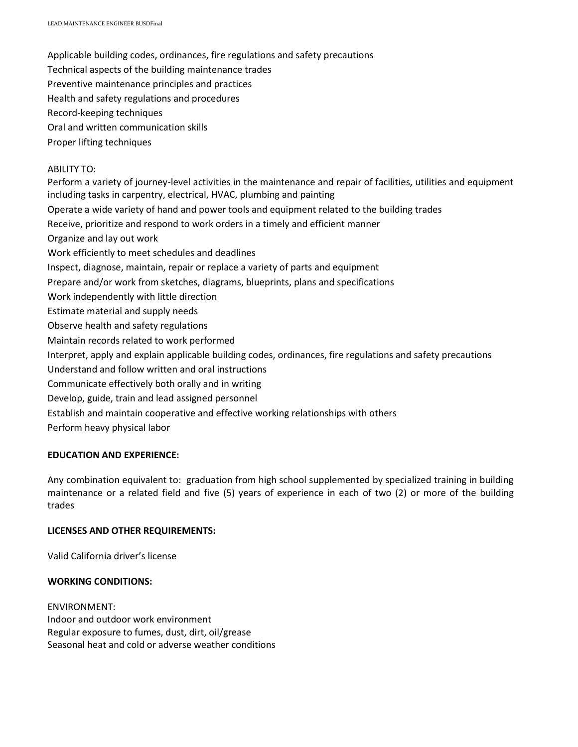Applicable building codes, ordinances, fire regulations and safety precautions Technical aspects of the building maintenance trades Preventive maintenance principles and practices Health and safety regulations and procedures Record-keeping techniques Oral and written communication skills Proper lifting techniques

#### ABILITY TO:

Perform a variety of journey-level activities in the maintenance and repair of facilities, utilities and equipment including tasks in carpentry, electrical, HVAC, plumbing and painting Operate a wide variety of hand and power tools and equipment related to the building trades Receive, prioritize and respond to work orders in a timely and efficient manner Organize and lay out work Work efficiently to meet schedules and deadlines Inspect, diagnose, maintain, repair or replace a variety of parts and equipment Prepare and/or work from sketches, diagrams, blueprints, plans and specifications Work independently with little direction Estimate material and supply needs Observe health and safety regulations Maintain records related to work performed Interpret, apply and explain applicable building codes, ordinances, fire regulations and safety precautions Understand and follow written and oral instructions Communicate effectively both orally and in writing Develop, guide, train and lead assigned personnel Establish and maintain cooperative and effective working relationships with others

Perform heavy physical labor

## **EDUCATION AND EXPERIENCE:**

Any combination equivalent to: graduation from high school supplemented by specialized training in building maintenance or a related field and five (5) years of experience in each of two (2) or more of the building trades

## **LICENSES AND OTHER REQUIREMENTS:**

Valid California driver's license

# **WORKING CONDITIONS:**

ENVIRONMENT: Indoor and outdoor work environment Regular exposure to fumes, dust, dirt, oil/grease Seasonal heat and cold or adverse weather conditions